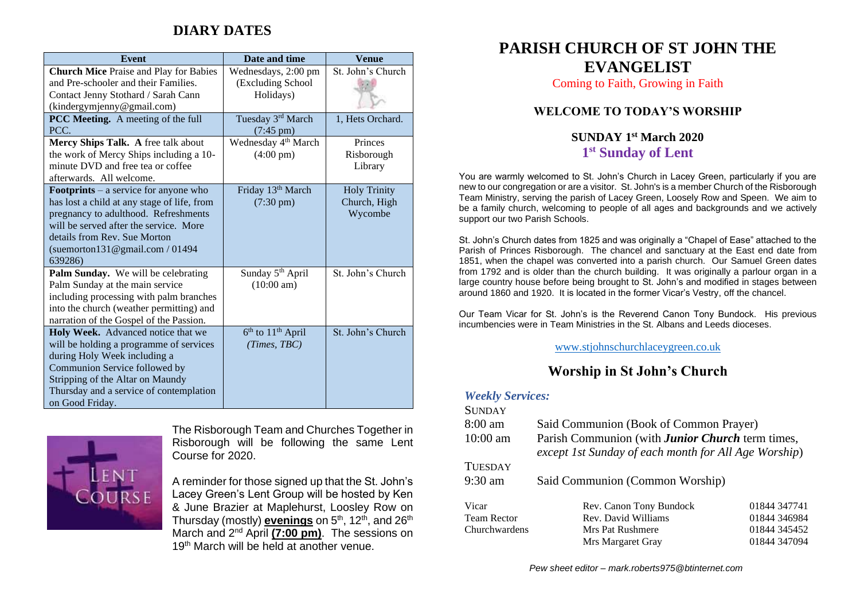# **DIARY DATES**

| <b>Event</b>                                                                                                                                                                                                                                                 | Date and time                                          | <b>Venue</b>                                   |
|--------------------------------------------------------------------------------------------------------------------------------------------------------------------------------------------------------------------------------------------------------------|--------------------------------------------------------|------------------------------------------------|
| <b>Church Mice Praise and Play for Babies</b><br>and Pre-schooler and their Families.<br>Contact Jenny Stothard / Sarah Cann                                                                                                                                 | Wednesdays, 2:00 pm<br>(Excluding School<br>Holidays)  | St. John's Church                              |
| (kindergymjenny@gmail.com)                                                                                                                                                                                                                                   |                                                        |                                                |
| PCC Meeting. A meeting of the full<br>PCC.                                                                                                                                                                                                                   | Tuesday 3rd March<br>$(7:45 \text{ pm})$               | 1, Hets Orchard.                               |
| Mercy Ships Talk. A free talk about<br>the work of Mercy Ships including a 10-<br>minute DVD and free tea or coffee<br>afterwards. All welcome.                                                                                                              | Wednesday 4 <sup>th</sup> March<br>$(4:00 \text{ pm})$ | Princes<br>Risborough<br>Library               |
| <b>Footprints</b> – a service for anyone who<br>has lost a child at any stage of life, from<br>pregnancy to adulthood. Refreshments<br>will be served after the service. More<br>details from Rev. Sue Morton<br>(suemorton131@gmail.com / 01494)<br>639286) | Friday 13th March<br>$(7:30 \text{ pm})$               | <b>Holy Trinity</b><br>Church, High<br>Wycombe |
| Palm Sunday. We will be celebrating<br>Palm Sunday at the main service<br>including processing with palm branches<br>into the church (weather permitting) and<br>narration of the Gospel of the Passion.                                                     | Sunday 5 <sup>th</sup> April<br>$(10:00 \text{ am})$   | St. John's Church                              |
| Holy Week. Advanced notice that we<br>will be holding a programme of services<br>during Holy Week including a<br>Communion Service followed by<br>Stripping of the Altar on Maundy<br>Thursday and a service of contemplation<br>on Good Friday.             | $6th$ to $11th$ April<br>(Times, TBC)                  | St. John's Church                              |



The Risborough Team and Churches Together in Risborough will be following the same Lent Course for 2020.

A reminder for those signed up that the St. John's Lacey Green's Lent Group will be hosted by Ken & June Brazier at Maplehurst, Loosley Row on Thursday (mostly) <mark>evenings</mark> on 5<sup>th</sup>, 12<sup>th</sup>, and 26<sup>th</sup> March and 2nd April **(7:00 pm)**. The sessions on 19<sup>th</sup> March will be held at another venue.

# **PARISH CHURCH OF ST JOHN THE EVANGELIST**

Coming to Faith, Growing in Faith

### **WELCOME TO TODAY'S WORSHIP**

### **SUNDAY 1 st March 2020 1 st Sunday of Lent**

You are warmly welcomed to St. John's Church in Lacey Green, particularly if you are new to our congregation or are a visitor. St. John's is a member Church of the Risborough Team Ministry, serving the parish of Lacey Green, Loosely Row and Speen. We aim to be a family church, welcoming to people of all ages and backgrounds and we actively support our two Parish Schools.

St. John's Church dates from 1825 and was originally a "Chapel of Ease" attached to the Parish of Princes Risborough. The chancel and sanctuary at the East end date from 1851, when the chapel was converted into a parish church. Our Samuel Green dates from 1792 and is older than the church building. It was originally a parlour organ in a large country house before being brought to St. John's and modified in stages between around 1860 and 1920. It is located in the former Vicar's Vestry, off the chancel.

Our Team Vicar for St. John's is the Reverend Canon Tony Bundock. His previous incumbencies were in Team Ministries in the St. Albans and Leeds dioceses.

[www.stjohnschurchlaceygreen.co.uk](http://www.stjohnschurchlaceygreen.co.uk/)

## **Worship in St John's Church**

#### *Weekly Services:*  $\sim$

| SUNDAY             |                                                                                                                 |              |  |
|--------------------|-----------------------------------------------------------------------------------------------------------------|--------------|--|
| $8:00$ am          | Said Communion (Book of Common Prayer)                                                                          |              |  |
| $10:00$ am         | Parish Communion (with <b>Junior Church</b> term times,<br>except 1st Sunday of each month for All Age Worship) |              |  |
| <b>TUESDAY</b>     |                                                                                                                 |              |  |
| $9:30$ am          | Said Communion (Common Worship)                                                                                 |              |  |
| Vicar              | Rev. Canon Tony Bundock                                                                                         | 01844 347741 |  |
| <b>Team Rector</b> | Rev. David Williams                                                                                             | 01844 346984 |  |
| Churchwardens      | Mrs Pat Rushmere                                                                                                | 01844 345452 |  |
|                    | Mrs Margaret Gray                                                                                               | 01844 347094 |  |
|                    |                                                                                                                 |              |  |

*Pew sheet editor – mark.roberts975@btinternet.com*